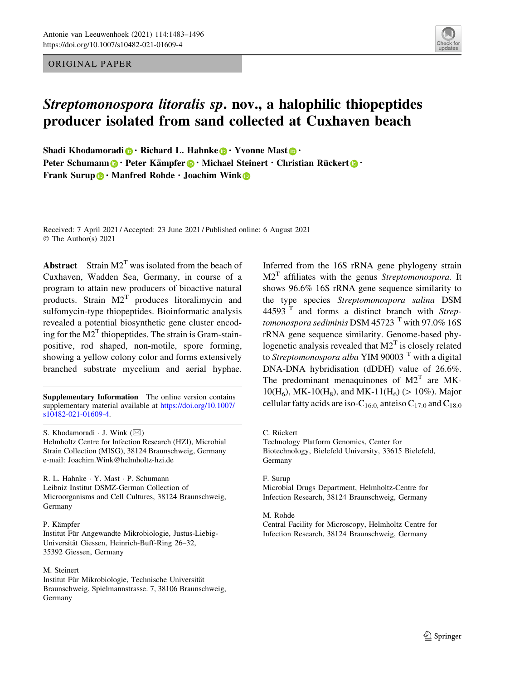ORIGINAL PAPER



# Streptomonospora litoralis sp. nov., a halophilic thiopeptides producer isolated from sand collected at Cuxhaven beach

Shadi Khodamoradi  $\mathbf{D} \cdot$  Richard L. Hahnke  $\mathbf{D} \cdot$  Yvonne Mast  $\mathbf{D} \cdot$ Peter Schumann **D** · Peter Kämpfer **D** · Michael Steinert · Christian Rückert **D** · Fran[k](http://orcid.org/0000-0001-9675-0276) Surup  $\bigcirc$  · Manfred Rohde · Joachim Wink  $\bigcirc$ 

Received: 7 April 2021 / Accepted: 23 June 2021 / Published online: 6 August 2021 © The Author(s) 2021

**Abstract** Strain  $M2^T$  was isolated from the beach of Cuxhaven, Wadden Sea, Germany, in course of a program to attain new producers of bioactive natural products. Strain  $M2<sup>T</sup>$  produces litoralimycin and sulfomycin-type thiopeptides. Bioinformatic analysis revealed a potential biosynthetic gene cluster encoding for the  $M2<sup>T</sup>$  thiopeptides. The strain is Gram-stainpositive, rod shaped, non-motile, spore forming, showing a yellow colony color and forms extensively branched substrate mycelium and aerial hyphae.

Supplementary Information The online version contains supplementary material available at [https://doi.org/10.1007/](https://doi.org/10.1007/s10482-021-01609-4) [s10482-021-01609-4](https://doi.org/10.1007/s10482-021-01609-4).

S. Khodamoradi ⋅ J. Wink (⊠) Helmholtz Centre for Infection Research (HZI), Microbial Strain Collection (MISG), 38124 Braunschweig, Germany e-mail: Joachim.Wink@helmholtz-hzi.de

R. L. Hahnke - Y. Mast - P. Schumann Leibniz Institut DSMZ-German Collection of Microorganisms and Cell Cultures, 38124 Braunschweig, Germany

P. Kämpfer

Institut Für Angewandte Mikrobiologie, Justus-Liebig-Universität Giessen, Heinrich-Buff-Ring 26–32, 35392 Giessen, Germany

M. Steinert

Institut Für Mikrobiologie, Technische Universität Braunschweig, Spielmannstrasse. 7, 38106 Braunschweig, Germany

Inferred from the 16S rRNA gene phylogeny strain  $M2<sup>T</sup>$  affiliates with the genus Streptomonospora. It shows 96.6% 16S rRNA gene sequence similarity to the type species Streptomonospora salina DSM 44593 $<sup>T</sup>$  and forms a distinct branch with Strep-</sup> tomonospora sediminis DSM 45723  $^{\mathrm{T}}$  with 97.0% 16S rRNA gene sequence similarity. Genome-based phylogenetic analysis revealed that  $M2<sup>T</sup>$  is closely related to Streptomonospora alba YIM 90003 $^{\mathrm{T}}$  with a digital DNA-DNA hybridisation (dDDH) value of 26.6%. The predominant menaquinones of  $M2<sup>T</sup>$  are MK- $10(H_6)$ , MK-10(H<sub>8</sub>), and MK-11(H<sub>6</sub>) ( $> 10\%$ ). Major cellular fatty acids are iso-C<sub>16:0</sub>, anteiso C<sub>17:0</sub> and C<sub>18:0</sub>

C. Rückert

Technology Platform Genomics, Center for Biotechnology, Bielefeld University, 33615 Bielefeld, Germany

F. Surup Microbial Drugs Department, Helmholtz-Centre for Infection Research, 38124 Braunschweig, Germany

M. Rohde

Central Facility for Microscopy, Helmholtz Centre for Infection Research, 38124 Braunschweig, Germany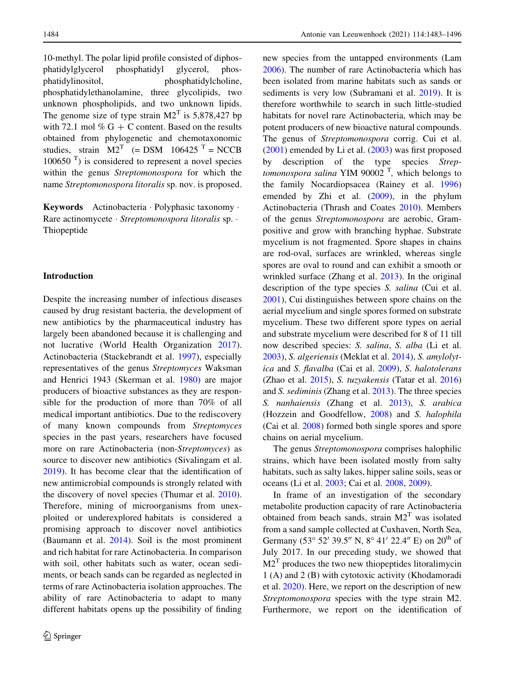10-methyl. The polar lipid profile consisted of diphosphatidylglycerol phosphatidyl glycerol, phosphatidylinositol, phosphatidylcholine, phosphatidylethanolamine, three glycolipids, two unknown phospholipids, and two unknown lipids. The genome size of type strain  $M2<sup>T</sup>$  is 5,878,427 bp with 72.1 mol %  $G + C$  content. Based on the results obtained from phylogenetic and chemotaxonomic studies, strain  $M2<sup>T</sup>$  (= DSM 106425<sup>T</sup> = NCCB  $100650$ <sup>T</sup>) is considered to represent a novel species within the genus Streptomonospora for which the name Streptomonospora litoralis sp. nov. is proposed.

Keywords Actinobacteria - Polyphasic taxonomy - Rare actinomycete · Streptomonospora litoralis sp. · Thiopeptide

## Introduction

Despite the increasing number of infectious diseases caused by drug resistant bacteria, the development of new antibiotics by the pharmaceutical industry has largely been abandoned because it is challenging and not lucrative (World Health Organization [2017](#page-13-0)). Actinobacteria (Stackebrandt et al. [1997\)](#page-13-0), especially representatives of the genus Streptomyces Waksman and Henrici 1943 (Skerman et al. [1980](#page-13-0)) are major producers of bioactive substances as they are responsible for the production of more than 70% of all medical important antibiotics. Due to the rediscovery of many known compounds from Streptomyces species in the past years, researchers have focused more on rare Actinobacteria (non-Streptomyces) as source to discover new antibiotics (Sivalingam et al. [2019\)](#page-13-0). It has become clear that the identification of new antimicrobial compounds is strongly related with the discovery of novel species (Thumar et al. [2010](#page-13-0)). Therefore, mining of microorganisms from unexploited or underexplored habitats is considered a promising approach to discover novel antibiotics (Baumann et al. [2014\)](#page-11-0). Soil is the most prominent and rich habitat for rare Actinobacteria. In comparison with soil, other habitats such as water, ocean sediments, or beach sands can be regarded as neglected in terms of rare Actinobacteria isolation approaches. The ability of rare Actinobacteria to adapt to many different habitats opens up the possibility of finding

new species from the untapped environments (Lam [2006\)](#page-12-0). The number of rare Actinobacteria which has been isolated from marine habitats such as sands or sediments is very low (Subramani et al. [2019](#page-13-0)). It is therefore worthwhile to search in such little-studied habitats for novel rare Actinobacteria, which may be potent producers of new bioactive natural compounds. The genus of Streptomonospora corrig. Cui et al. [\(2001](#page-12-0)) emended by Li et al. ([2003\)](#page-12-0) was first proposed by description of the type species Strep $tomonospora$  salina YIM 90002<sup>T</sup>, which belongs to the family Nocardiopsacea (Rainey et al. [1996\)](#page-13-0) emended by Zhi et al. ([2009\)](#page-13-0), in the phylum Actinobacteria (Thrash and Coates [2010\)](#page-13-0). Members of the genus Streptomonospora are aerobic, Grampositive and grow with branching hyphae. Substrate mycelium is not fragmented. Spore shapes in chains are rod-oval, surfaces are wrinkled, whereas single spores are oval to round and can exhibit a smooth or wrinkled surface (Zhang et al. [2013](#page-13-0)). In the original description of the type species S. salina (Cui et al. [2001\)](#page-12-0), Cui distinguishes between spore chains on the aerial mycelium and single spores formed on substrate mycelium. These two different spore types on aerial and substrate mycelium were described for 8 of 11 till now described species: S. salina, S. alba (Li et al. [2003\)](#page-12-0), S. algeriensis (Meklat et al. [2014\)](#page-12-0), S. amylolytica and S. flavalba (Cai et al. [2009\)](#page-11-0), S. halotolerans (Zhao et al. [2015](#page-13-0)), S. tuzyakensis (Tatar et al. [2016\)](#page-13-0) and S. sediminis (Zhang et al. [2013](#page-13-0)). The three species S. nanhaiensis (Zhang et al. [2013\)](#page-13-0), S. arabica (Hozzein and Goodfellow, [2008](#page-12-0)) and S. halophila (Cai et al. [2008\)](#page-11-0) formed both single spores and spore chains on aerial mycelium.

The genus Streptomonospora comprises halophilic strains, which have been isolated mostly from salty habitats, such as salty lakes, hipper saline soils, seas or oceans (Li et al. [2003;](#page-12-0) Cai et al. [2008](#page-11-0), [2009\)](#page-11-0).

In frame of an investigation of the secondary metabolite production capacity of rare Actinobacteria obtained from beach sands, strain  $M2<sup>T</sup>$  was isolated from a sand sample collected at Cuxhaven, North Sea, Germany (53° 52′ 39.5″ N, 8° 41′ 22.4″ E) on 20<sup>th</sup> of July 2017. In our preceding study, we showed that  $M2<sup>T</sup>$  produces the two new thiopeptides litoralimycin 1 (A) and 2 (B) with cytotoxic activity (Khodamoradi et al. [2020\)](#page-12-0). Here, we report on the description of new Streptomonospora species with the type strain M2. Furthermore, we report on the identification of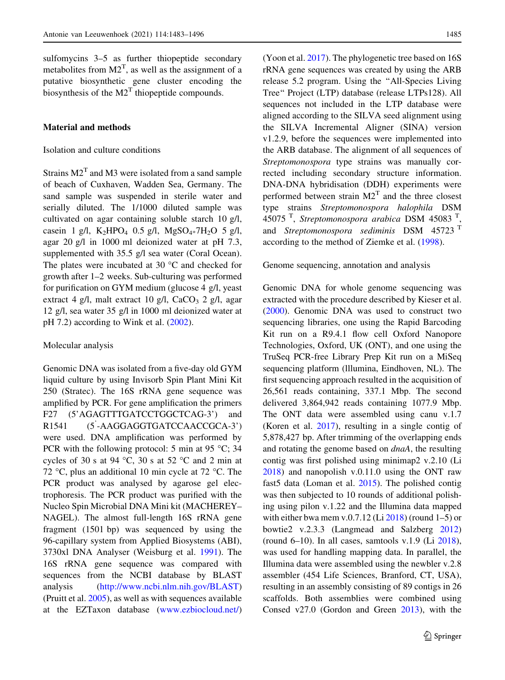sulfomycins 3–5 as further thiopeptide secondary metabolites from  $M2<sup>T</sup>$ , as well as the assignment of a putative biosynthetic gene cluster encoding the biosynthesis of the  $M2<sup>T</sup>$  thiopeptide compounds.

# Material and methods

# Isolation and culture conditions

Strains  $M2<sup>T</sup>$  and M3 were isolated from a sand sample of beach of Cuxhaven, Wadden Sea, Germany. The sand sample was suspended in sterile water and serially diluted. The 1/1000 diluted sample was cultivated on agar containing soluble starch 10 g/l, casein 1 g/l, K<sub>2</sub>HPO<sub>4</sub> 0.5 g/l, MgSO<sub>4</sub>\*7H<sub>2</sub>O 5 g/l, agar 20 g/l in 1000 ml deionized water at pH 7.3, supplemented with 35.5 g/l sea water (Coral Ocean). The plates were incubated at 30  $^{\circ}$ C and checked for growth after 1–2 weeks. Sub-culturing was performed for purification on GYM medium (glucose 4 g/l, yeast extract 4 g/l, malt extract 10 g/l,  $CaCO<sub>3</sub>$  2 g/l, agar 12 g/l, sea water 35 g/l in 1000 ml deionized water at pH 7.2) according to Wink et al. [\(2002](#page-13-0)).

## Molecular analysis

Genomic DNA was isolated from a five-day old GYM liquid culture by using Invisorb Spin Plant Mini Kit 250 (Stratec). The 16S rRNA gene sequence was amplified by PCR. For gene amplification the primers F27 (5'AGAGTTTGATCCTGGCTCAG-3') and R1541 -AAGGAGGTGATCCAACCGCA-3') were used. DNA amplification was performed by PCR with the following protocol: 5 min at 95  $\degree$ C; 34 cycles of 30 s at 94 °C, 30 s at 52 °C and 2 min at 72 °C, plus an additional 10 min cycle at 72 °C. The PCR product was analysed by agarose gel electrophoresis. The PCR product was purified with the Nucleo Spin Microbial DNA Mini kit (MACHEREY– NAGEL). The almost full-length 16S rRNA gene fragment (1501 bp) was sequenced by using the 96-capillary system from Applied Biosystems (ABI), 3730xl DNA Analyser (Weisburg et al. [1991\)](#page-13-0). The 16S rRNA gene sequence was compared with sequences from the NCBI database by BLAST analysis [\(http://www.ncbi.nlm.nih.gov/BLAST\)](http://www.ncbi.nlm.nih.gov/BLAST) (Pruitt et al. [2005\)](#page-13-0), as well as with sequences available at the EZTaxon database [\(www.ezbiocloud.net/\)](http://www.ezbiocloud.net/) (Yoon et al. [2017\)](#page-13-0). The phylogenetic tree based on 16S rRNA gene sequences was created by using the ARB release 5.2 program. Using the ''All-Species Living Tree'' Project (LTP) database (release LTPs128). All sequences not included in the LTP database were aligned according to the SILVA seed alignment using the SILVA Incremental Aligner (SINA) version v1.2.9, before the sequences were implemented into the ARB database. The alignment of all sequences of Streptomonospora type strains was manually corrected including secondary structure information. DNA-DNA hybridisation (DDH) experiments were performed between strain  $M2<sup>T</sup>$  and the three closest type strains Streptomonospora halophila DSM 45075<sup>T</sup>, Streptomonospora arabica DSM 45083<sup>T</sup>, and Streptomonospora sediminis DSM 45723 T according to the method of Ziemke et al. [\(1998](#page-13-0)).

#### Genome sequencing, annotation and analysis

Genomic DNA for whole genome sequencing was extracted with the procedure described by Kieser et al. [\(2000](#page-12-0)). Genomic DNA was used to construct two sequencing libraries, one using the Rapid Barcoding Kit run on a R9.4.1 flow cell Oxford Nanopore Technologies, Oxford, UK (ONT), and one using the TruSeq PCR-free Library Prep Kit run on a MiSeq sequencing platform (lllumina, Eindhoven, NL). The first sequencing approach resulted in the acquisition of 26,561 reads containing, 337.1 Mbp. The second delivered 3,864,942 reads containing 1077.9 Mbp. The ONT data were assembled using canu v.1.7 (Koren et al. [2017](#page-12-0)), resulting in a single contig of 5,878,427 bp. After trimming of the overlapping ends and rotating the genome based on dnaA, the resulting contig was first polished using minimap2 v.2.10 (Li [2018\)](#page-12-0) and nanopolish v.0.11.0 using the ONT raw fast5 data (Loman et al. [2015\)](#page-12-0). The polished contig was then subjected to 10 rounds of additional polishing using pilon v.1.22 and the Illumina data mapped with either bwa mem v.0.7.12 (Li  $2018$ ) (round 1–5) or bowtie2 v.2.3.3 (Langmead and Salzberg [2012\)](#page-12-0) (round 6–10). In all cases, samtools v.1.9 (Li [2018](#page-12-0)), was used for handling mapping data. In parallel, the Illumina data were assembled using the newbler v.2.8 assembler (454 Life Sciences, Branford, CT, USA), resulting in an assembly consisting of 89 contigs in 26 scaffolds. Both assemblies were combined using Consed v27.0 (Gordon and Green [2013\)](#page-12-0), with the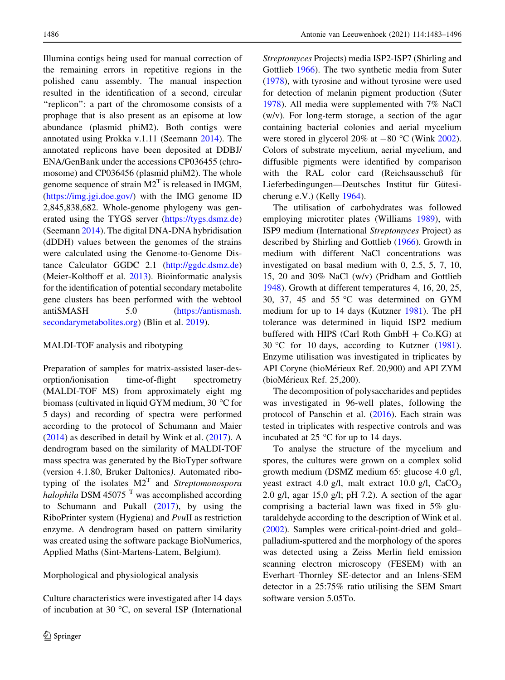Illumina contigs being used for manual correction of the remaining errors in repetitive regions in the polished canu assembly. The manual inspection resulted in the identification of a second, circular "replicon": a part of the chromosome consists of a prophage that is also present as an episome at low abundance (plasmid phiM2). Both contigs were annotated using Prokka v.1.11 (Seemann [2014](#page-13-0)). The annotated replicons have been deposited at DDBJ/ ENA/GenBank under the accessions CP036455 (chromosome) and CP036456 (plasmid phiM2). The whole genome sequence of strain  $M2<sup>T</sup>$  is released in IMGM, [\(https://img.jgi.doe.gov/\)](https://img.jgi.doe.gov/) with the IMG genome ID 2,845,838,682. Whole-genome phylogeny was generated using the TYGS server ([https://tygs.dsmz.de\)](https://tygs.dsmz.de) (Seemann [2014\)](#page-13-0). The digital DNA-DNA hybridisation (dDDH) values between the genomes of the strains were calculated using the Genome-to-Genome Distance Calculator GGDC 2.1 ([http://ggdc.dsmz.de\)](http://ggdc.dsmz.de) (Meier-Kolthoff et al. [2013](#page-12-0)). Bioinformatic analysis for the identification of potential secondary metabolite gene clusters has been performed with the webtool antiSMASH 5.0 ([https://antismash.](https://antismash.secondarymetabolites.org) [secondarymetabolites.org](https://antismash.secondarymetabolites.org)) (Blin et al. [2019](#page-11-0)).

# MALDI-TOF analysis and ribotyping

Preparation of samples for matrix-assisted laser-desorption/ionisation time-of-flight spectrometry (MALDI-TOF MS) from approximately eight mg biomass (cultivated in liquid GYM medium, 30  $\degree$ C for 5 days) and recording of spectra were performed according to the protocol of Schumann and Maier [\(2014](#page-13-0)) as described in detail by Wink et al. ([2017\)](#page-13-0). A dendrogram based on the similarity of MALDI-TOF mass spectra was generated by the BioTyper software (version 4.1.80, Bruker Daltonics). Automated ribotyping of the isolates  $M2<sup>T</sup>$  and *Streptomonospora* halophila DSM 45075 $<sup>T</sup>$  was accomplished according</sup> to Schumann and Pukall [\(2017](#page-13-0)), by using the RiboPrinter system (Hygiena) and PvuII as restriction enzyme. A dendrogram based on pattern similarity was created using the software package BioNumerics, Applied Maths (Sint-Martens-Latem, Belgium).

## Morphological and physiological analysis

Culture characteristics were investigated after 14 days of incubation at 30  $^{\circ}$ C, on several ISP (International Streptomyces Projects) media ISP2-ISP7 (Shirling and Gottlieb [1966](#page-13-0)). The two synthetic media from Suter [\(1978](#page-13-0)), with tyrosine and without tyrosine were used for detection of melanin pigment production (Suter [1978\)](#page-13-0). All media were supplemented with 7% NaCl (w/v). For long-term storage, a section of the agar containing bacterial colonies and aerial mycelium were stored in glycerol 20% at  $-80$  °C (Wink [2002](#page-13-0)). Colors of substrate mycelium, aerial mycelium, and diffusible pigments were identified by comparison with the RAL color card (Reichsausschuß für Lieferbedingungen—Deutsches Institut für Gütesicherung e.V.) (Kelly [1964](#page-12-0)).

The utilisation of carbohydrates was followed employing microtiter plates (Williams [1989\)](#page-13-0), with ISP9 medium (International Streptomyces Project) as described by Shirling and Gottlieb ([1966](#page-13-0)). Growth in medium with different NaCl concentrations was investigated on basal medium with 0, 2.5, 5, 7, 10, 15, 20 and 30% NaCl (w/v) (Pridham and Gottlieb [1948\)](#page-13-0). Growth at different temperatures 4, 16, 20, 25, 30, 37, 45 and 55  $\degree$ C was determined on GYM medium for up to 14 days (Kutzner [1981\)](#page-12-0). The pH tolerance was determined in liquid ISP2 medium buffered with HIPS (Carl Roth GmbH  $+$  Co.KG) at 30 °C for 10 days, according to Kutzner  $(1981)$  $(1981)$  $(1981)$ . Enzyme utilisation was investigated in triplicates by API Coryne (bioMérieux Ref. 20,900) and API ZYM (bioMérieux Ref. 25,200).

The decomposition of polysaccharides and peptides was investigated in 96-well plates, following the protocol of Panschin et al. [\(2016](#page-12-0)). Each strain was tested in triplicates with respective controls and was incubated at 25  $\degree$ C for up to 14 days.

To analyse the structure of the mycelium and spores, the cultures were grown on a complex solid growth medium (DSMZ medium 65: glucose 4.0 g/l, yeast extract 4.0 g/l, malt extract 10.0 g/l,  $CaCO<sub>3</sub>$ 2.0 g/l, agar 15,0 g/l; pH 7.2). A section of the agar comprising a bacterial lawn was fixed in 5% glutaraldehyde according to the description of Wink et al. [\(2002](#page-13-0)). Samples were critical-point-dried and gold– palladium-sputtered and the morphology of the spores was detected using a Zeiss Merlin field emission scanning electron microscopy (FESEM) with an Everhart–Thornley SE-detector and an Inlens-SEM detector in a 25:75% ratio utilising the SEM Smart software version 5.05To.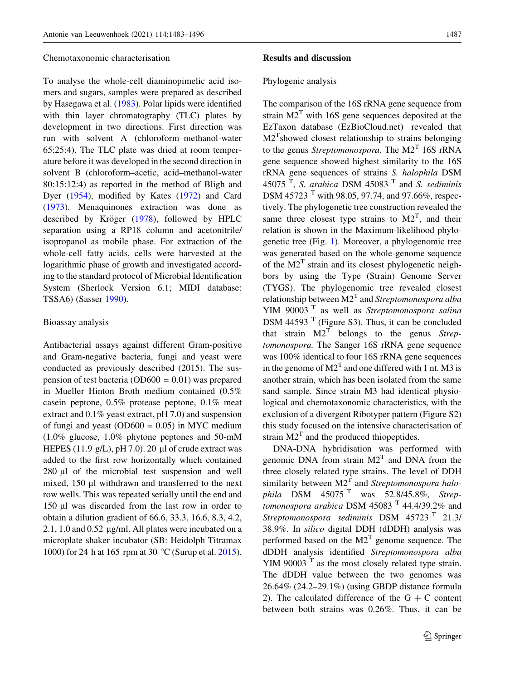#### Chemotaxonomic characterisation

To analyse the whole-cell diaminopimelic acid isomers and sugars, samples were prepared as described by Hasegawa et al. ([1983\)](#page-12-0). Polar lipids were identified with thin layer chromatography (TLC) plates by development in two directions. First direction was run with solvent A (chloroform–methanol-water 65:25:4). The TLC plate was dried at room temperature before it was developed in the second direction in solvent B (chloroform–acetic, acid–methanol-water 80:15:12:4) as reported in the method of Bligh and Dyer [\(1954](#page-11-0)), modified by Kates [\(1972](#page-12-0)) and Card [\(1973](#page-11-0)). Menaquinones extraction was done as described by Kröger [\(1978\)](#page-12-0), followed by HPLC separation using a RP18 column and acetonitrile/ isopropanol as mobile phase. For extraction of the whole-cell fatty acids, cells were harvested at the logarithmic phase of growth and investigated according to the standard protocol of Microbial Identification System (Sherlock Version 6.1; MIDI database: TSSA6) (Sasser [1990\)](#page-13-0).

#### Bioassay analysis

Antibacterial assays against different Gram-positive and Gram-negative bacteria, fungi and yeast were conducted as previously described (2015). The suspension of test bacteria ( $OD600 = 0.01$ ) was prepared in Mueller Hinton Broth medium contained (0.5% casein peptone, 0.5% protease peptone, 0.1% meat extract and 0.1% yeast extract, pH 7.0) and suspension of fungi and yeast (OD600 =  $0.05$ ) in MYC medium (1.0% glucose, 1.0% phytone peptones and 50-mM HEPES (11.9 g/L), pH 7.0). 20  $\mu$ l of crude extract was added to the first row horizontally which contained  $280 \mu l$  of the microbial test suspension and well mixed, 150 µl withdrawn and transferred to the next row wells. This was repeated serially until the end and 150 µl was discarded from the last row in order to obtain a dilution gradient of 66.6, 33.3, 16.6, 8.3, 4.2, 2.1, 1.0 and  $0.52 \mu$ g/ml. All plates were incubated on a microplate shaker incubator (SB: Heidolph Titramax 1000) for 24 h at 165 rpm at 30 °C (Surup et al. [2015](#page-13-0)).

## Results and discussion

#### Phylogenic analysis

The comparison of the 16S rRNA gene sequence from strain  $M2<sup>T</sup>$  with 16S gene sequences deposited at the EzTaxon database (EzBioCloud.net) revealed that M2<sup>T</sup>showed closest relationship to strains belonging to the genus *Streptomonospora*. The  $M2<sup>T</sup> 16S$  rRNA gene sequence showed highest similarity to the 16S rRNA gene sequences of strains S. halophila DSM 45075<sup>T</sup>, S. arabica DSM 45083<sup>T</sup> and S. sediminis DSM 45723<sup>T</sup> with 98.05, 97.74, and 97.66%, respectively. The phylogenetic tree construction revealed the same three closest type strains to  $M2<sup>T</sup>$ , and their relation is shown in the Maximum-likelihood phylogenetic tree (Fig. [1\)](#page-5-0). Moreover, a phylogenomic tree was generated based on the whole-genome sequence of the  $M2<sup>T</sup>$  strain and its closest phylogenetic neighbors by using the Type (Strain) Genome Server (TYGS). The phylogenomic tree revealed closest relationship between  $M2<sup>T</sup>$  and *Streptomonospora alba* YIM 90003<sup>T</sup> as well as Streptomonospora salina DSM 44593 $<sup>T</sup>$  (Figure S3). Thus, it can be concluded</sup> that strain  $M2<sup>T</sup>$  belongs to the genus Streptomonospora. The Sanger 16S rRNA gene sequence was 100% identical to four 16S rRNA gene sequences in the genome of  $M2<sup>T</sup>$  and one differed with 1 nt. M3 is another strain, which has been isolated from the same sand sample. Since strain M3 had identical physiological and chemotaxonomic characteristics, with the exclusion of a divergent Ribotyper pattern (Figure S2) this study focused on the intensive characterisation of strain  $M2<sup>T</sup>$  and the produced thiopeptides.

DNA-DNA hybridisation was performed with genomic DNA from strain  $M2<sup>T</sup>$  and DNA from the three closely related type strains. The level of DDH similarity between  $M2<sup>T</sup>$  and Streptomonospora halophila DSM  $45075$ <sup>T</sup> was  $52.8/45.8\%$ . Streptomonospora arabica DSM 45083  $^{\mathrm{T}}$  44.4/39.2% and Streptomonospora sediminis DSM  $45723$ <sup>T</sup> 21.3/ 38.9%. In silico digital DDH (dDDH) analysis was performed based on the  $M2<sup>T</sup>$  genome sequence. The dDDH analysis identified Streptomonospora alba  $YIM$  90003<sup> $T$ </sup> as the most closely related type strain. The dDDH value between the two genomes was 26.64% (24.2–29.1%) (using GBDP distance formula 2). The calculated difference of the  $G + C$  content between both strains was 0.26%. Thus, it can be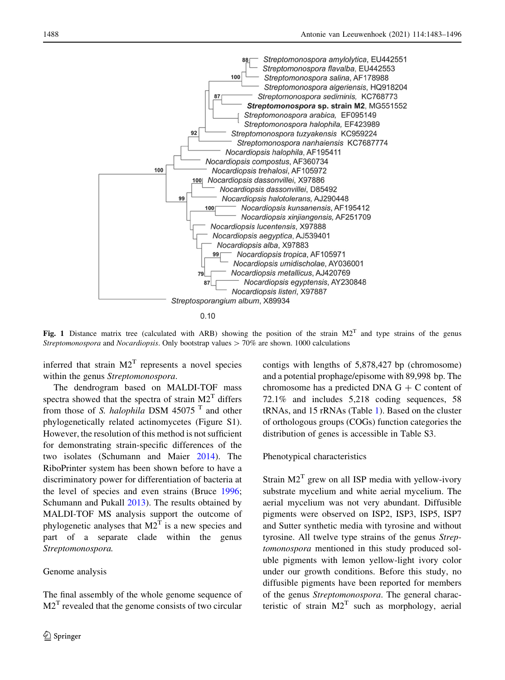<span id="page-5-0"></span>

Fig. 1 Distance matrix tree (calculated with ARB) showing the position of the strain  $M2<sup>T</sup>$  and type strains of the genus Streptomonospora and Nocardiopsis. Only bootstrap values  $> 70\%$  are shown. 1000 calculations

inferred that strain  $M2<sup>T</sup>$  represents a novel species within the genus Streptomonospora.

The dendrogram based on MALDI-TOF mass spectra showed that the spectra of strain  $M2<sup>T</sup>$  differs from those of S. *halophila* DSM 45075<sup>T</sup> and other phylogenetically related actinomycetes (Figure S1). However, the resolution of this method is not sufficient for demonstrating strain-specific differences of the two isolates (Schumann and Maier [2014](#page-13-0)). The RiboPrinter system has been shown before to have a discriminatory power for differentiation of bacteria at the level of species and even strains (Bruce [1996](#page-11-0); Schumann and Pukall [2013](#page-13-0)). The results obtained by MALDI-TOF MS analysis support the outcome of phylogenetic analyses that  $M2<sup>T</sup>$  is a new species and part of a separate clade within the genus Streptomonospora.

#### Genome analysis

The final assembly of the whole genome sequence of  $M2<sup>T</sup>$  revealed that the genome consists of two circular

contigs with lengths of 5,878,427 bp (chromosome) and a potential prophage/episome with 89,998 bp. The chromosome has a predicted DNA  $G + C$  content of 72.1% and includes 5,218 coding sequences, 58 tRNAs, and 15 rRNAs (Table [1](#page-6-0)). Based on the cluster of orthologous groups (COGs) function categories the distribution of genes is accessible in Table S3.

#### Phenotypical characteristics

Strain  $M2<sup>T</sup>$  grew on all ISP media with yellow-ivory substrate mycelium and white aerial mycelium. The aerial mycelium was not very abundant. Diffusible pigments were observed on ISP2, ISP3, ISP5, ISP7 and Sutter synthetic media with tyrosine and without tyrosine. All twelve type strains of the genus Streptomonospora mentioned in this study produced soluble pigments with lemon yellow-light ivory color under our growth conditions. Before this study, no diffusible pigments have been reported for members of the genus Streptomonospora. The general characteristic of strain  $M2<sup>T</sup>$  such as morphology, aerial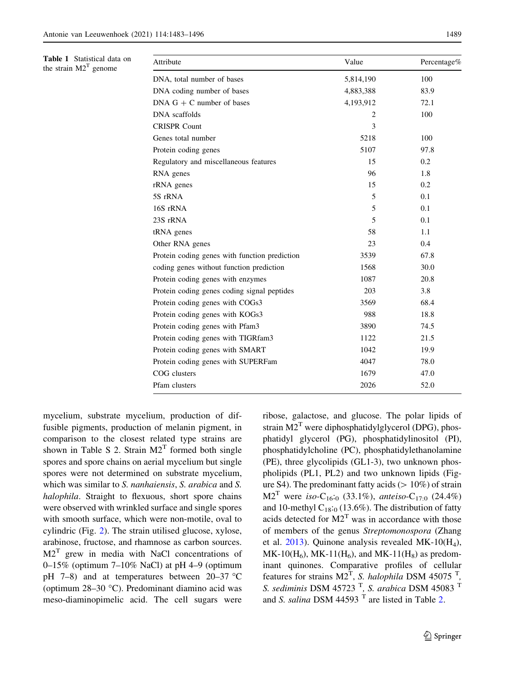<span id="page-6-0"></span>Table 1 Statistical data on the strain  $M2<sup>T</sup>$  genome

| Attribute                                     | Value     | Percentage% |  |
|-----------------------------------------------|-----------|-------------|--|
| DNA, total number of bases                    | 5,814,190 | 100         |  |
| DNA coding number of bases                    | 4,883,388 | 83.9        |  |
| DNA $G + C$ number of bases                   | 4,193,912 | 72.1        |  |
| DNA scaffolds                                 | 2         | 100         |  |
| <b>CRISPR Count</b>                           | 3         |             |  |
| Genes total number                            | 5218      | 100         |  |
| Protein coding genes                          | 5107      | 97.8        |  |
| Regulatory and miscellaneous features         | 15        | 0.2         |  |
| RNA genes                                     | 96        | 1.8         |  |
| rRNA genes                                    | 15        | 0.2         |  |
| 5S rRNA                                       | 5         | 0.1         |  |
| 16S rRNA                                      | 5         | 0.1         |  |
| 23S rRNA                                      | 5         | 0.1         |  |
| tRNA genes                                    | 58        | 1.1         |  |
| Other RNA genes                               | 23        | 0.4         |  |
| Protein coding genes with function prediction | 3539      | 67.8        |  |
| coding genes without function prediction      | 1568      | 30.0        |  |
| Protein coding genes with enzymes             | 1087      | 20.8        |  |
| Protein coding genes coding signal peptides   | 203       | 3.8         |  |
| Protein coding genes with COGs3               | 3569      | 68.4        |  |
| Protein coding genes with KOGs3               | 988       | 18.8        |  |
| Protein coding genes with Pfam3               | 3890      | 74.5        |  |
| Protein coding genes with TIGRfam3            | 1122      | 21.5        |  |
| Protein coding genes with SMART               | 1042      | 19.9        |  |
| Protein coding genes with SUPERFam            | 4047      | 78.0        |  |
| COG clusters                                  | 1679      | 47.0        |  |
| Pfam clusters                                 | 2026      | 52.0        |  |

mycelium, substrate mycelium, production of diffusible pigments, production of melanin pigment, in comparison to the closest related type strains are shown in Table S 2. Strain  $M2<sup>T</sup>$  formed both single spores and spore chains on aerial mycelium but single spores were not determined on substrate mycelium, which was similar to *S. nanhaiensis*, *S. arabica* and *S.* halophila. Straight to flexuous, short spore chains were observed with wrinkled surface and single spores with smooth surface, which were non-motile, oval to cylindric (Fig. [2\)](#page-7-0). The strain utilised glucose, xylose, arabinose, fructose, and rhamnose as carbon sources.  $M2<sup>T</sup>$  grew in media with NaCl concentrations of 0–15% (optimum 7–10% NaCl) at pH 4–9 (optimum pH 7–8) and at temperatures between  $20-37$  °C (optimum  $28-30$  °C). Predominant diamino acid was meso-diaminopimelic acid. The cell sugars were ribose, galactose, and glucose. The polar lipids of strain  $M2<sup>T</sup>$  were diphosphatidylglycerol (DPG), phosphatidyl glycerol (PG), phosphatidylinositol (PI), phosphatidylcholine (PC), phosphatidylethanolamine (PE), three glycolipids (GL1-3), two unknown phospholipids (PL1, PL2) and two unknown lipids (Figure S4). The predominant fatty acids  $(> 10\%)$  of strain  $M2<sup>T</sup>$  were iso-C<sub>16</sub>:<sub>0</sub> (33.1%), anteiso-C<sub>17:0</sub> (24.4%) and 10-methyl  $C_{18:0}$  (13.6%). The distribution of fatty acids detected for  $M2<sup>T</sup>$  was in accordance with those of members of the genus Streptomonospora (Zhang et al. [2013](#page-13-0)). Quinone analysis revealed MK-10 $(H_4)$ ,  $MK-10(H<sub>6</sub>), MK-11(H<sub>6</sub>), and MK-11(H<sub>8</sub>)$  as predominant quinones. Comparative profiles of cellular features for strains  $M2<sup>T</sup>$ , *S. halophila* DSM 45075<sup>T</sup>, S. sediminis DSM 45723  $<sup>T</sup>$ , S. arabica DSM 45083  $<sup>T</sup>$ </sup></sup> and S. salina DSM 44593  $<sup>T</sup>$  are listed in Table [2](#page-8-0).</sup>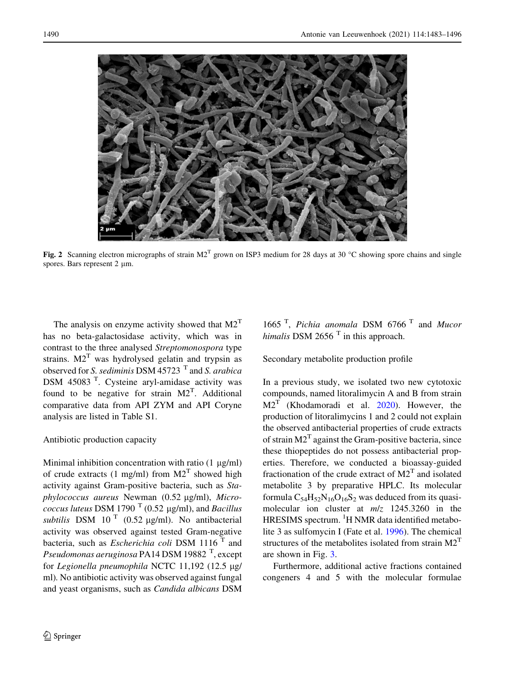<span id="page-7-0"></span>

Fig. 2 Scanning electron micrographs of strain  $M2<sup>T</sup>$  grown on ISP3 medium for 28 days at 30 °C showing spore chains and single spores. Bars represent  $2 \mu m$ .

The analysis on enzyme activity showed that  $M2<sup>T</sup>$ has no beta-galactosidase activity, which was in contrast to the three analysed Streptomonospora type strains.  $M2<sup>T</sup>$  was hydrolysed gelatin and trypsin as observed for S. sediminis DSM 45723  $<sup>T</sup>$  and S. arabica</sup> DSM 45083<sup>T</sup>. Cysteine aryl-amidase activity was found to be negative for strain  $M2<sup>T</sup>$ . Additional comparative data from API ZYM and API Coryne analysis are listed in Table S1.

## Antibiotic production capacity

Minimal inhibition concentration with ratio  $(1 \mu g/ml)$ of crude extracts (1 mg/ml) from  $M2<sup>T</sup>$  showed high activity against Gram-positive bacteria, such as Staphylococcus aureus Newman (0.52 µg/ml), Micro*coccus luteus* DSM 1790<sup> $T$ </sup> (0.52 µg/ml), and *Bacillus* subtilis DSM 10<sup>T</sup> (0.52  $\mu$ g/ml). No antibacterial activity was observed against tested Gram-negative bacteria, such as *Escherichia coli* DSM 1116 $<sup>T</sup>$  and</sup> Pseudomonas aeruginosa PA14 DSM 19882  $^{\text{T}}$ , except for Legionella pneumophila NCTC 11,192 (12.5  $\mu$ g/ ml). No antibiotic activity was observed against fungal and yeast organisms, such as Candida albicans DSM

1665<sup>T</sup>, Pichia anomala DSM 6766<sup>T</sup> and Mucor himalis DSM 2656 $<sup>T</sup>$  in this approach.</sup>

Secondary metabolite production profile

In a previous study, we isolated two new cytotoxic compounds, named litoralimycin A and B from strain  $M2<sup>T</sup>$  (Khodamoradi et al. [2020](#page-12-0)). However, the production of litoralimycins 1 and 2 could not explain the observed antibacterial properties of crude extracts of strain  $M2<sup>T</sup>$  against the Gram-positive bacteria, since these thiopeptides do not possess antibacterial properties. Therefore, we conducted a bioassay-guided fractionation of the crude extract of  $M2<sup>T</sup>$  and isolated metabolite 3 by preparative HPLC. Its molecular formula  $C_{54}H_{52}N_{16}O_{16}S_2$  was deduced from its quasimolecular ion cluster at  $m/z$  1245.3260 in the HRESIMS spectrum. <sup>1</sup>H NMR data identified metabolite 3 as sulfomycin I (Fate et al. [1996](#page-12-0)). The chemical structures of the metabolites isolated from strain  $M2<sup>T</sup>$ are shown in Fig. [3.](#page-9-0)

Furthermore, additional active fractions contained congeners 4 and 5 with the molecular formulae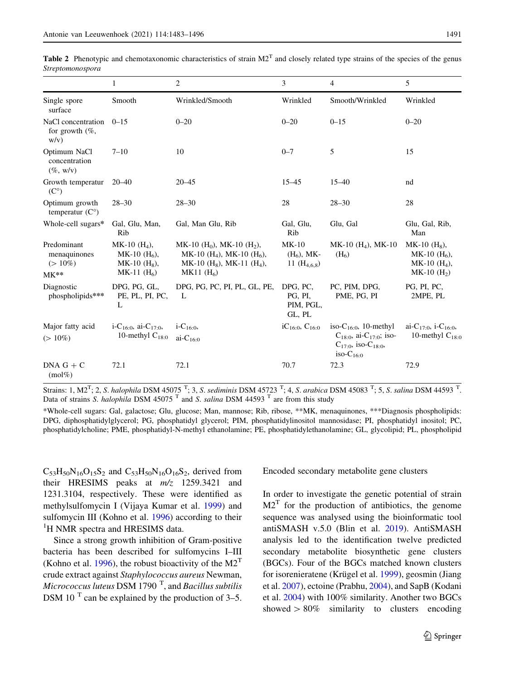<span id="page-8-0"></span>**Table 2** Phenotypic and chemotaxonomic characteristics of strain  $M2<sup>T</sup>$  and closely related type strains of the species of the genus Streptomonospora

|                                                    | 1                                                                         | $\overline{c}$                                                                                                                                           | 3                                            | $\overline{4}$                                                                                                         | 5                                                                           |
|----------------------------------------------------|---------------------------------------------------------------------------|----------------------------------------------------------------------------------------------------------------------------------------------------------|----------------------------------------------|------------------------------------------------------------------------------------------------------------------------|-----------------------------------------------------------------------------|
| Single spore<br>surface                            | Smooth                                                                    | Wrinkled/Smooth                                                                                                                                          | Wrinkled                                     | Smooth/Wrinkled                                                                                                        | Wrinkled                                                                    |
| NaCl concentration<br>for growth $(\%$ ,<br>w/v)   | $0 - 15$                                                                  | $0 - 20$                                                                                                                                                 | $0 - 20$                                     | $0 - 15$                                                                                                               | $0 - 20$                                                                    |
| Optimum NaCl<br>concentration<br>$(\%$ , w/v)      | $7 - 10$                                                                  | 10                                                                                                                                                       | $0 - 7$                                      | 5                                                                                                                      | 15                                                                          |
| Growth temperatur<br>$(C^{\circ})$                 | $20 - 40$                                                                 | $20 - 45$                                                                                                                                                | $15 - 45$                                    | $15 - 40$                                                                                                              | nd                                                                          |
| Optimum growth<br>temperatur $(C^{\circ})$         | $28 - 30$                                                                 | $28 - 30$                                                                                                                                                | 28                                           | $28 - 30$                                                                                                              | 28                                                                          |
| Whole-cell sugars*                                 | Gal, Glu, Man,<br>Rib                                                     | Gal, Man Glu, Rib                                                                                                                                        | Gal, Glu,<br>Rib                             | Glu, Gal                                                                                                               | Glu, Gal, Rib,<br>Man                                                       |
| Predominant<br>menaquinones<br>$(>10\%)$<br>$MK**$ | $MK-10$ $(H_4)$ ,<br>MK-10 $(H6)$ ,<br>$MK-10$ $(H_8)$ ,<br>MK-11 $(H_6)$ | MK-10 (H <sub>0</sub> ), MK-10 (H <sub>2</sub> ),<br>MK-10 (H <sub>4</sub> ), MK-10 (H <sub>6</sub> ),<br>MK-10 $(H_8)$ , MK-11 $(H_4)$ ,<br>MK11 $(H6)$ | $MK-10$<br>$(H_6)$ , MK-<br>11 $(H_{4,6,8})$ | MK-10 $(H_4)$ , MK-10<br>(H <sub>6</sub> )                                                                             | $MK-10$ $(H_8)$ ,<br>MK-10 $(H_6)$ ,<br>$MK-10$ $(H_4)$ ,<br>$MK-10$ $(H2)$ |
| Diagnostic<br>phospholipids***                     | DPG, PG, GL,<br>PE, PL, PI, PC,<br>L                                      | DPG, PG, PC, PI, PL, GL, PE,<br>L                                                                                                                        | DPG, PC,<br>PG, PI,<br>PIM, PGL,<br>GL, PL   | PC, PIM, DPG,<br>PME, PG, PI                                                                                           | PG, PI, PC,<br>2MPE, PL                                                     |
| Major fatty acid<br>$(>10\%)$                      | i-C <sub>16:0</sub> , ai-C <sub>17:0</sub> ,<br>10-methyl $C_{18:0}$      | $i - C_{16:0}$<br>ai- $C_{16:0}$                                                                                                                         | $iC_{16:0}$ , $C_{16:0}$                     | iso- $C_{16:0}$ , 10-methyl<br>$C_{18:0}$ , ai- $C_{17:0}$ ; iso-<br>$C_{17:0}$ , iso- $C_{18:0}$ ,<br>iso- $C_{16:0}$ | ai-C <sub>17:0</sub> , i-C <sub>16:0</sub> ,<br>10-methyl $C_{18:0}$        |
| $DNA G + C$<br>$(mol\%)$                           | 72.1                                                                      | 72.1                                                                                                                                                     | 70.7                                         | 72.3                                                                                                                   | 72.9                                                                        |

Strains: 1, M2<sup>T</sup>; 2, S. halophila DSM 45075<sup>T</sup>; 3, S. sediminis DSM 45723<sup>T</sup>; 4, S. arabica DSM 45083<sup>T</sup>; 5, S. salina DSM 44593<sup>T</sup>. Data of strains S. halophila DSM 45075<sup>T</sup> and S. salina DSM 44593<sup>T</sup> are from this study

\*Whole-cell sugars: Gal, galactose; Glu, glucose; Man, mannose; Rib, ribose, \*\*MK, menaquinones, \*\*\*Diagnosis phospholipids: DPG, diphosphatidylglycerol; PG, phosphatidyl glycerol; PIM, phosphatidylinositol mannosidase; PI, phosphatidyl inositol; PC, phosphatidylcholine; PME, phosphatidyl-N-methyl ethanolamine; PE, phosphatidylethanolamine; GL, glycolipid; PL, phospholipid

 $C_{53}H_{50}N_{16}O_{15}S_2$  and  $C_{53}H_{50}N_{16}O_{16}S_2$ , derived from their HRESIMS peaks at  $m/z$  1259.3421 and 1231.3104, respectively. These were identified as methylsulfomycin I (Vijaya Kumar et al. [1999\)](#page-12-0) and sulfomycin III (Kohno et al. [1996](#page-12-0)) according to their <sup>1</sup>H NMR spectra and HRESIMS data.

Since a strong growth inhibition of Gram-positive bacteria has been described for sulfomycins I–III (Kohno et al. [1996\)](#page-12-0), the robust bioactivity of the  $M2<sup>T</sup>$ crude extract against Staphylococcus aureus Newman, Micrococcus luteus DSM 1790  $^{\text{T}}$ , and *Bacillus subtilis* DSM 10 $^{\mathrm{T}}$  can be explained by the production of 3–5.

Encoded secondary metabolite gene clusters

In order to investigate the genetic potential of strain  $M2<sup>T</sup>$  for the production of antibiotics, the genome sequence was analysed using the bioinformatic tool antiSMASH v.5.0 (Blin et al. [2019](#page-11-0)). AntiSMASH analysis led to the identification twelve predicted secondary metabolite biosynthetic gene clusters (BGCs). Four of the BGCs matched known clusters for isorenieratene (Krügel et al. [1999\)](#page-12-0), geosmin (Jiang et al. [2007\)](#page-12-0), ectoine (Prabhu, [2004](#page-12-0)), and SapB (Kodani et al. [2004](#page-12-0)) with 100% similarity. Another two BGCs showed  $> 80\%$  similarity to clusters encoding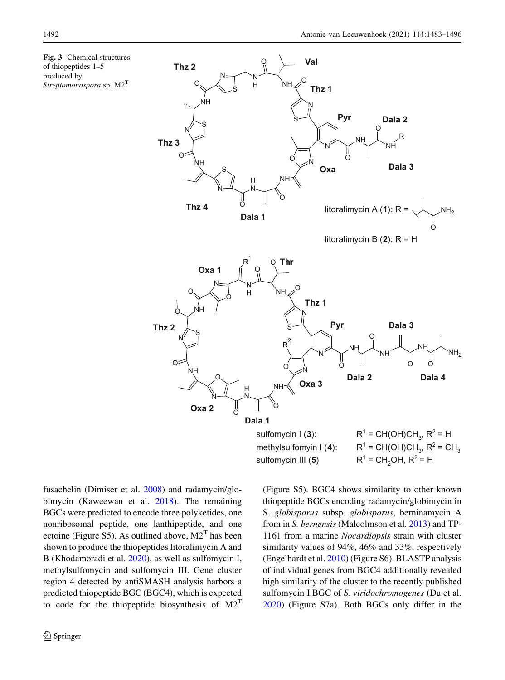

fusachelin (Dimiser et al. [2008\)](#page-12-0) and radamycin/globimycin (Kaweewan et al. [2018](#page-12-0)). The remaining BGCs were predicted to encode three polyketides, one nonribosomal peptide, one lanthipeptide, and one ectoine (Figure S5). As outlined above,  $M2<sup>T</sup>$  has been shown to produce the thiopeptides litoralimycin A and B (Khodamoradi et al. [2020\)](#page-12-0), as well as sulfomycin I, methylsulfomycin and sulfomycin III. Gene cluster region 4 detected by antiSMASH analysis harbors a predicted thiopeptide BGC (BGC4), which is expected to code for the thiopeptide biosynthesis of  $M2<sup>T</sup>$  (Figure S5). BGC4 shows similarity to other known thiopeptide BGCs encoding radamycin/globimycin in S. globisporus subsp. globisporus, berninamycin A from in S. bernensis (Malcolmson et al. [2013](#page-12-0)) and TP-1161 from a marine Nocardiopsis strain with cluster similarity values of 94%, 46% and 33%, respectively (Engelhardt et al. [2010\)](#page-12-0) (Figure S6). BLASTP analysis of individual genes from BGC4 additionally revealed high similarity of the cluster to the recently published sulfomycin I BGC of S. viridochromogenes (Du et al. [2020\)](#page-12-0) (Figure S7a). Both BGCs only differ in the

<span id="page-9-0"></span>Fig. 3 Chemical structures of thiopeptides 1–5 produced by Streptomonospora sp. M2<sup>T</sup>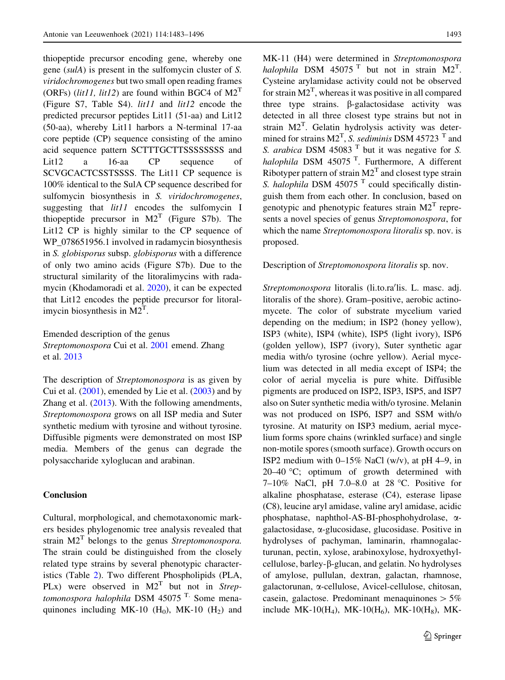thiopeptide precursor encoding gene, whereby one gene (sulA) is present in the sulfomycin cluster of S. viridochromogenes but two small open reading frames (ORFs) (*lit11*, *lit12*) are found within BGC4 of  $M2<sup>T</sup>$ (Figure S7, Table S4).  $lit11$  and  $lit12$  encode the predicted precursor peptides Lit11 (51-aa) and Lit12 (50-aa), whereby Lit11 harbors a N-terminal 17-aa core peptide (CP) sequence consisting of the amino acid sequence pattern SCTTTGCTTSSSSSSSS and Lit12 a 16-aa CP sequence of SCVGCACTCSSTSSSS. The Lit11 CP sequence is 100% identical to the SulA CP sequence described for sulfomycin biosynthesis in S. viridochromogenes, suggesting that *lit11* encodes the sulfomycin I thiopeptide precursor in  $M2<sup>T</sup>$  (Figure S7b). The Lit12 CP is highly similar to the CP sequence of WP\_078651956.1 involved in radamycin biosynthesis in S. globisporus subsp. globisporus with a difference of only two amino acids (Figure S7b). Due to the structural similarity of the litoralimycins with radamycin (Khodamoradi et al. [2020](#page-12-0)), it can be expected that Lit12 encodes the peptide precursor for litoralimycin biosynthesis in  $M2<sup>T</sup>$ .

Emended description of the genus Streptomonospora Cui et al. [2001](#page-12-0) emend. Zhang et al. [2013](#page-13-0)

The description of *Streptomonospora* is as given by Cui et al.  $(2001)$  $(2001)$ , emended by Lie et al.  $(2003)$  $(2003)$  $(2003)$  and by Zhang et al. ([2013\)](#page-13-0). With the following amendments, Streptomonospora grows on all ISP media and Suter synthetic medium with tyrosine and without tyrosine. Diffusible pigments were demonstrated on most ISP media. Members of the genus can degrade the polysaccharide xyloglucan and arabinan.

# Conclusion

Cultural, morphological, and chemotaxonomic markers besides phylogenomic tree analysis revealed that strain  $M2<sup>T</sup>$  belongs to the genus Streptomonospora. The strain could be distinguished from the closely related type strains by several phenotypic characteristics (Table [2](#page-8-0)). Two different Phospholipids (PLA, PLx) were observed in  $M2<sup>T</sup>$  but not in Streptomonospora halophila DSM 45075  $^{\text{T}}$ . Some menaquinones including MK-10  $(H<sub>0</sub>)$ , MK-10  $(H<sub>2</sub>)$  and MK-11 (H4) were determined in Streptomonospora halophila DSM 45075<sup>T</sup> but not in strain  $M2<sup>T</sup>$ . Cysteine arylamidase activity could not be observed for strain  $M2<sup>T</sup>$ , whereas it was positive in all compared three type strains.  $\beta$ -galactosidase activity was detected in all three closest type strains but not in strain M2<sup>T</sup>. Gelatin hydrolysis activity was determined for strains  $M2<sup>T</sup>$ , S. sediminis DSM 45723<sup>T</sup> and S. arabica DSM 45083 $<sup>T</sup>$  but it was negative for S.</sup> halophila DSM  $45075$ <sup>T</sup>. Furthermore, A different Ribotyper pattern of strain  $M2<sup>T</sup>$  and closest type strain S. halophila DSM 45075  $<sup>T</sup>$  could specifically distin-</sup> guish them from each other. In conclusion, based on genotypic and phenotypic features strain  $M2<sup>T</sup>$  represents a novel species of genus Streptomonospora, for which the name Streptomonospora litoralis sp. nov. is proposed.

#### Description of Streptomonospora litoralis sp. nov.

Streptomonospora litoralis (li.to.ra'lis. L. masc. adj. litoralis of the shore). Gram–positive, aerobic actinomycete. The color of substrate mycelium varied depending on the medium; in ISP2 (honey yellow), ISP3 (white), ISP4 (white), ISP5 (light ivory), ISP6 (golden yellow), ISP7 (ivory), Suter synthetic agar media with/o tyrosine (ochre yellow). Aerial mycelium was detected in all media except of ISP4; the color of aerial mycelia is pure white. Diffusible pigments are produced on ISP2, ISP3, ISP5, and ISP7 also on Suter synthetic media with/o tyrosine. Melanin was not produced on ISP6, ISP7 and SSM with/o tyrosine. At maturity on ISP3 medium, aerial mycelium forms spore chains (wrinkled surface) and single non-motile spores (smooth surface). Growth occurs on ISP2 medium with 0–15% NaCl (w/v), at pH 4–9, in 20–40  $^{\circ}$ C; optimum of growth determined with 7-10% NaCl, pH 7.0-8.0 at 28 °C. Positive for alkaline phosphatase, esterase (C4), esterase lipase (C8), leucine aryl amidase, valine aryl amidase, acidic phosphatase, naphthol-AS-BI-phosphohydrolase, agalactosidase, a-glucosidase, glucosidase. Positive in hydrolyses of pachyman, laminarin, rhamnogalacturunan, pectin, xylose, arabinoxylose, hydroxyethylcellulose, barley- $\beta$ -glucan, and gelatin. No hydrolyses of amylose, pullulan, dextran, galactan, rhamnose, galactorunan, a-cellulose, Avicel-cellulose, chitosan, casein, galactose. Predominant menaquinones  $> 5\%$ include MK-10( $H_4$ ), MK-10( $H_6$ ), MK-10( $H_8$ ), MK-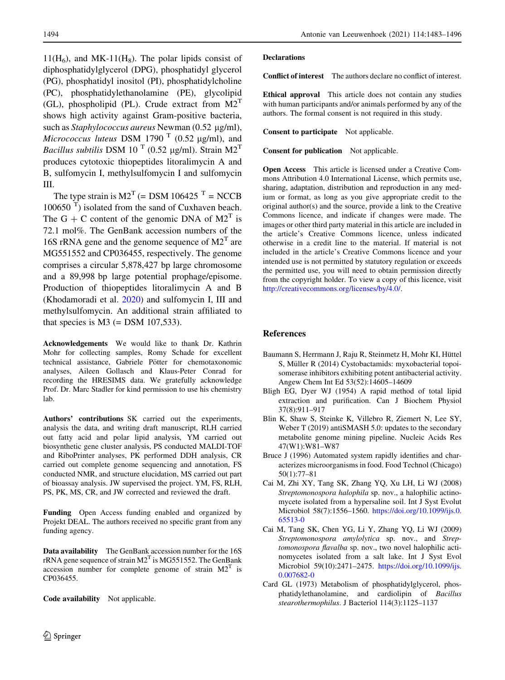<span id="page-11-0"></span> $11(H<sub>6</sub>)$ , and MK-11(H<sub>8</sub>). The polar lipids consist of diphosphatidylglycerol (DPG), phosphatidyl glycerol (PG), phosphatidyl inositol (PI), phosphatidylcholine (PC), phosphatidylethanolamine (PE), glycolipid (GL), phospholipid (PL). Crude extract from  $M2<sup>T</sup>$ shows high activity against Gram-positive bacteria, such as Staphylococcus aureus Newman (0.52 µg/ml), Micrococcus luteus DSM 1790  $^{\mathrm{T}}$  (0.52 µg/ml), and Bacillus subtilis DSM 10<sup>T</sup> (0.52 µg/ml). Strain M2<sup>T</sup> produces cytotoxic thiopeptides litoralimycin A and B, sulfomycin I, methylsulfomycin I and sulfomycin III.

The type strain is  $M2<sup>T</sup>$  (= DSM 106425<sup> $T$ </sup> = NCCB  $100650$ <sup>T</sup>) isolated from the sand of Cuxhaven beach. The G + C content of the genomic DNA of  $M2<sup>T</sup>$  is 72.1 mol%. The GenBank accession numbers of the 16S rRNA gene and the genome sequence of  $M2<sup>T</sup>$  are MG551552 and CP036455, respectively. The genome comprises a circular 5,878,427 bp large chromosome and a 89,998 bp large potential prophage/episome. Production of thiopeptides litoralimycin A and B (Khodamoradi et al. [2020](#page-12-0)) and sulfomycin I, III and methylsulfomycin. An additional strain affiliated to that species is  $M3$  (= DSM 107,533).

Acknowledgements We would like to thank Dr. Kathrin Mohr for collecting samples, Romy Schade for excellent technical assistance, Gabriele Pötter for chemotaxonomic analyses, Aileen Gollasch and Klaus-Peter Conrad for recording the HRESIMS data. We gratefully acknowledge Prof. Dr. Marc Stadler for kind permission to use his chemistry lab.

Authors' contributions SK carried out the experiments, analysis the data, and writing draft manuscript, RLH carried out fatty acid and polar lipid analysis, YM carried out biosynthetic gene cluster analysis, PS conducted MALDI-TOF and RiboPrinter analyses, PK performed DDH analysis, CR carried out complete genome sequencing and annotation, FS conducted NMR, and structure elucidation, MS carried out part of bioassay analysis. JW supervised the project. YM, FS, RLH, PS, PK, MS, CR, and JW corrected and reviewed the draft.

Funding Open Access funding enabled and organized by Projekt DEAL. The authors received no specific grant from any funding agency.

Data availability The GenBank accession number for the 16S rRNA gene sequence of strain  $M2<sup>T</sup>$  is MG551552. The GenBank accession number for complete genome of strain  $M2<sup>T</sup>$  is CP036455.

Code availability Not applicable.

### Declarations

Conflict of interest The authors declare no conflict of interest.

Ethical approval This article does not contain any studies with human participants and/or animals performed by any of the authors. The formal consent is not required in this study.

Consent to participate Not applicable.

Consent for publication Not applicable.

Open Access This article is licensed under a Creative Commons Attribution 4.0 International License, which permits use, sharing, adaptation, distribution and reproduction in any medium or format, as long as you give appropriate credit to the original author(s) and the source, provide a link to the Creative Commons licence, and indicate if changes were made. The images or other third party material in this article are included in the article's Creative Commons licence, unless indicated otherwise in a credit line to the material. If material is not included in the article's Creative Commons licence and your intended use is not permitted by statutory regulation or exceeds the permitted use, you will need to obtain permission directly from the copyright holder. To view a copy of this licence, visit <http://creativecommons.org/licenses/by/4.0/>.

# References

- Baumann S, Herrmann J, Raju R, Steinmetz H, Mohr KI, Hüttel S, Müller R (2014) Cystobactamids: myxobacterial topoisomerase inhibitors exhibiting potent antibacterial activity. Angew Chem Int Ed 53(52):14605–14609
- Bligh EG, Dyer WJ (1954) A rapid method of total lipid extraction and purification. Can J Biochem Physiol 37(8):911–917
- Blin K, Shaw S, Steinke K, Villebro R, Ziemert N, Lee SY, Weber T (2019) antiSMASH 5.0: updates to the secondary metabolite genome mining pipeline. Nucleic Acids Res 47(W1):W81–W87
- Bruce J (1996) Automated system rapidly identifies and characterizes microorganisms in food. Food Technol (Chicago) 50(1):77–81
- Cai M, Zhi XY, Tang SK, Zhang YQ, Xu LH, Li WJ (2008) Streptomonospora halophila sp. nov., a halophilic actinomycete isolated from a hypersaline soil. Int J Syst Evolut Microbiol 58(7):1556–1560. [https://doi.org/10.1099/ijs.0.](https://doi.org/10.1099/ijs.0.65513-0) [65513-0](https://doi.org/10.1099/ijs.0.65513-0)
- Cai M, Tang SK, Chen YG, Li Y, Zhang YQ, Li WJ (2009) Streptomonospora amylolytica sp. nov., and Streptomonospora flavalba sp. nov., two novel halophilic actinomycetes isolated from a salt lake. Int J Syst Evol Microbiol 59(10):2471–2475. [https://doi.org/10.1099/ijs.](https://doi.org/10.1099/ijs.0.007682-0) [0.007682-0](https://doi.org/10.1099/ijs.0.007682-0)
- Card GL (1973) Metabolism of phosphatidylglycerol, phosphatidylethanolamine, and cardiolipin of Bacillus stearothermophilus. J Bacteriol 114(3):1125–1137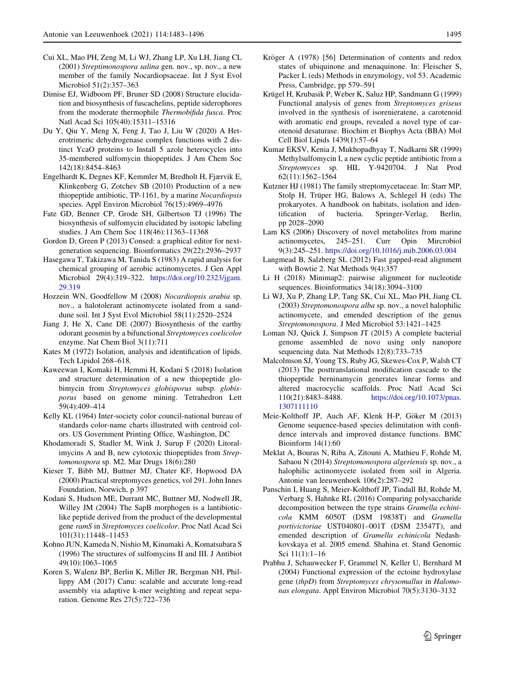- <span id="page-12-0"></span>Cui XL, Mao PH, Zeng M, Li WJ, Zhang LP, Xu LH, Jiang CL (2001) Streptimonospora salina gen. nov., sp. nov., a new member of the family Nocardiopsaceae. Int J Syst Evol Microbiol 51(2):357–363
- Dimise EJ, Widboom PF, Bruner SD (2008) Structure elucidation and biosynthesis of fuscachelins, peptide siderophores from the moderate thermophile Thermobifida fusca. Proc Natl Acad Sci 105(40):15311–15316
- Du Y, Qiu Y, Meng X, Feng J, Tao J, Liu W (2020) A Heterotrimeric dehydrogenase complex functions with 2 distinct YcaO proteins to Install 5 azole heterocycles into 35-membered sulfomycin thiopeptides. J Am Chem Soc 142(18):8454–8463
- Engelhardt K, Degnes KF, Kemmler M, Bredholt H, Fjærvik E, Klinkenberg G, Zotchev SB (2010) Production of a new thiopeptide antibiotic, TP-1161, by a marine Nocardiopsis species. Appl Environ Microbiol 76(15):4969–4976
- Fate GD, Benner CP, Grode SH, Gilbertson TJ (1996) The biosynthesis of sulfomycin elucidated by isotopic labeling studies. J Am Chem Soc 118(46):11363–11368
- Gordon D, Green P (2013) Consed: a graphical editor for nextgeneration sequencing. Bioinformatics 29(22):2936–2937
- Hasegawa T, Takizawa M, Tanida S (1983) A rapid analysis for chemical grouping of aerobic actinomycetes. J Gen Appl Microbiol 29(4):319–322. [https://doi.org/10.2323/jgam.](https://doi.org/10.2323/jgam.29.319) [29.319](https://doi.org/10.2323/jgam.29.319)
- Hozzein WN, Goodfellow M (2008) Nocardiopsis arabia sp. nov., a halotolerant actinomycete isolated from a sanddune soil. Int J Syst Evol Microbiol 58(11):2520–2524
- Jiang J, He X, Cane DE (2007) Biosynthesis of the earthy odorant geosmin by a bifunctional Streptomyces coelicolor enzyme. Nat Chem Biol 3(11):711
- Kates M (1972) Isolation, analysis and identification of lipids. Tech Lipidol 268–618.
- Kaweewan I, Komaki H, Hemmi H, Kodani S (2018) Isolation and structure determination of a new thiopeptide globimycin from Streptomyces globisporus subsp. globisporus based on genome mining. Tetrahedron Lett 59(4):409–414
- Kelly KL (1964) Inter-society color council-national bureau of standards color-name charts illustrated with centroid colors. US Government Printing Office, Washington, DC
- Khodamoradi S, Stadler M, Wink J, Surup F (2020) Litoralimycins A and B, new cytotoxic thiopeptides from Streptomonospora sp. M2. Mar Drugs 18(6):280
- Kieser T, Bibb MJ, Buttner MJ, Chater KF, Hopwood DA (2000) Practical streptomyces genetics, vol 291. John Innes Foundation, Norwich, p 397
- Kodani S, Hudson ME, Durrant MC, Buttner MJ, Nodwell JR, Willey JM (2004) The SapB morphogen is a lantibioticlike peptide derived from the product of the developmental gene ramS in Streptomyces coelicolor. Proc Natl Acad Sci 101(31):11448–11453
- Kohno JUN, Kameda N, Nishio M, Kinumaki A, Komatsubara S (1996) The structures of sulfomycins II and III. J Antibiot 49(10):1063–1065
- Koren S, Walenz BP, Berlin K, Miller JR, Bergman NH, Phillippy AM (2017) Canu: scalable and accurate long-read assembly via adaptive k-mer weighting and repeat separation. Genome Res 27(5):722–736
- 
- Kröger A (1978) [56] Determination of contents and redox states of ubiquinone and menaquinone. In: Fleischer S, Packer L (eds) Methods in enzymology, vol 53. Academic Press, Cambridge, pp 579–591
- Krügel H, Krubasik P, Weber K, Saluz HP, Sandmann G (1999) Functional analysis of genes from Streptomyces griseus involved in the synthesis of isorenieratene, a carotenoid with aromatic end groups, revealed a novel type of carotenoid desaturase. Biochim et Biophys Acta (BBA) Mol Cell Biol Lipids 1439(1):57–64
- Kumar EKSV, Kenia J, Mukhopadhyay T, Nadkarni SR (1999) Methylsulfomycin I, a new cyclic peptide antibiotic from a Streptomyces sp. HIL Y-9420704. J Nat Prod 62(11):1562–1564
- Kutzner HJ (1981) The family streptomycetaceae. In: Starr MP, Stolp H, Trüper HG, Balows A, Schlegel H (eds) The prokaryotes. A handbook on habitats, isolation and identification of bacteria. Springer-Verlag, Berlin, pp 2028–2090
- Lam KS (2006) Discovery of novel metabolites from marine actinomycetes, 245–251. Curr Opin Mircrobiol 9(3):245–251. <https://doi.org/10.1016/j.mib.2006.03.004>
- Langmead B, Salzberg SL (2012) Fast gapped-read alignment with Bowtie 2. Nat Methods 9(4):357
- Li H (2018) Minimap2: pairwise alignment for nucleotide sequences. Bioinformatics 34(18):3094–3100
- Li WJ, Xu P, Zhang LP, Tang SK, Cui XL, Mao PH, Jiang CL (2003) Streptomonospora alba sp. nov., a novel halophilic actinomycete, and emended description of the genus Streptomonospora. J Med Microbiol 53:1421–1425
- Loman NJ, Quick J, Simpson JT (2015) A complete bacterial genome assembled de novo using only nanopore sequencing data. Nat Methods 12(8):733–735
- Malcolmson SJ, Young TS, Ruby JG, Skewes-Cox P, Walsh CT (2013) The posttranslational modification cascade to the thiopeptide berninamycin generates linear forms and altered macrocyclic scaffolds. Proc Natl Acad Sci 110(21):8483–8488. [https://doi.org/10.1073/pnas.](https://doi.org/10.1073/pnas.1307111110) [1307111110](https://doi.org/10.1073/pnas.1307111110)
- Meie-Kolthoff JP, Auch AF, Klenk H-P, Göker M (2013) Genome sequence-based species delimitation with confidence intervals and improved distance functions. BMC Bioinform 14(1):60
- Meklat A, Bouras N, Riba A, Zitouni A, Mathieu F, Rohde M, Sabaou N (2014) Streptomonospora algeriensis sp. nov., a halophilic actinomycete isolated from soil in Algeria. Antonie van leeuwenhoek 106(2):287–292
- Panschin I, Huang S, Meier-Kolthoff JP, Tindall BJ, Rohde M, Verbarg S, Hahnke RL (2016) Comparing polysaccharide decomposition between the type strains Gramella echinicola KMM 6050T (DSM 19838T) and Gramella portivictoriae UST040801–001T (DSM 23547T), and emended description of Gramella echinicola Nedashkovskaya et al. 2005 emend. Shahina et. Stand Genomic Sci 11(1):1–16
- Prabhu J, Schauwecker F, Grammel N, Keller U, Bernhard M (2004) Functional expression of the ectoine hydroxylase gene (thpD) from Streptomyces chrysomallus in Halomonas elongata. Appl Environ Microbiol 70(5):3130–3132